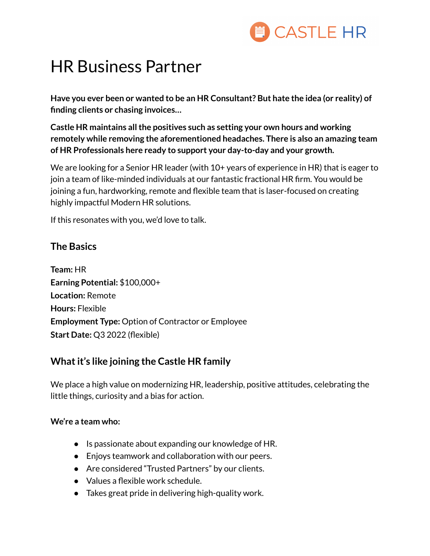

## HR Business Partner

**Have you ever been or wanted to be an HR Consultant? But hate the idea (or reality) of finding clients or chasing invoices…**

**Castle HR maintains allthe positives such as setting your own hours and working remotely while removing the aforementioned headaches. There is also an amazing team of HR Professionals here ready to support your day-to-day and your growth.**

We are looking for a Senior HR leader (with 10+ years of experience in HR) that is eager to join a team of like-minded individuals at our fantastic fractional HR firm. You would be joining a fun, hardworking, remote and flexible team that is laser-focused on creating highly impactful Modern HR solutions.

If this resonates with you, we'd love to talk.

## **The Basics**

**Team:** HR **Earning Potential:** \$100,000+ **Location:** Remote **Hours:** Flexible **Employment Type:** Option of Contractor or Employee **Start Date:** Q3 2022 (flexible)

## **Whatit's like joining the Castle HR family**

We place a high value on modernizing HR, leadership, positive attitudes, celebrating the little things, curiosity and a bias for action.

### **We're a team who:**

- Is passionate about expanding our knowledge of HR.
- Enjoys teamwork and collaboration with our peers.
- Are considered "Trusted Partners" by our clients.
- Values a flexible work schedule.
- Takes great pride in delivering high-quality work.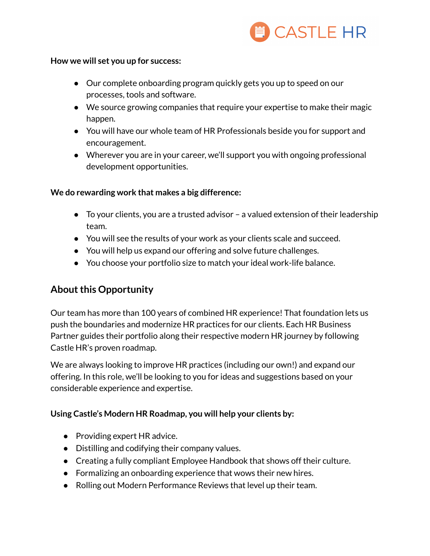

#### **How we will set you up for success:**

- Our complete onboarding program quickly gets you up to speed on our processes, tools and software.
- We source growing companies that require your expertise to make their magic happen.
- You will have our whole team of HR Professionals beside you for support and encouragement.
- Wherever you are in your career, we'll support you with ongoing professional development opportunities.

#### **We do rewarding work that makes a big difference:**

- To your clients, you are a trusted advisor a valued extension of their leadership team.
- You will see the results of your work as your clients scale and succeed.
- You will help us expand our offering and solve future challenges.
- You choose your portfolio size to match your ideal work-life balance.

## **About this Opportunity**

Our team has more than 100 years of combined HR experience! That foundation lets us push the boundaries and modernize HR practices for our clients. Each HR Business Partner guides their portfolio along their respective modern HR journey by following Castle HR's proven roadmap.

We are always looking to improve HR practices (including our own!) and expand our offering. In this role, we'll be looking to you for ideas and suggestions based on your considerable experience and expertise.

### **Using Castle's Modern HR Roadmap, you will help your clients by:**

- Providing expert HR advice.
- Distilling and codifying their company values.
- Creating a fully compliant Employee Handbook that shows off their culture.
- Formalizing an onboarding experience that wows their new hires.
- Rolling out Modern Performance Reviews that level up their team.